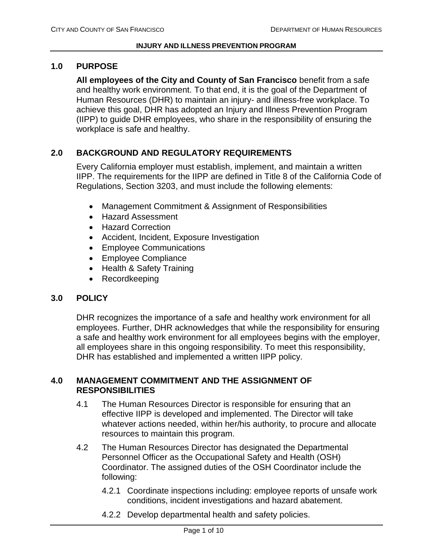## **1.0 PURPOSE**

**All employees of the City and County of San Francisco** benefit from a safe and healthy work environment. To that end, it is the goal of the Department of Human Resources (DHR) to maintain an injury- and illness-free workplace. To achieve this goal, DHR has adopted an Injury and Illness Prevention Program (IIPP) to guide DHR employees, who share in the responsibility of ensuring the workplace is safe and healthy.

# **2.0 BACKGROUND AND REGULATORY REQUIREMENTS**

Every California employer must establish, implement, and maintain a written IIPP. The requirements for the IIPP are defined in Title 8 of the California Code of Regulations, Section 3203, and must include the following elements:

- Management Commitment & Assignment of Responsibilities
- Hazard Assessment
- Hazard Correction
- Accident, Incident, Exposure Investigation
- Employee Communications
- Employee Compliance
- Health & Safety Training
- Recordkeeping

## **3.0 POLICY**

DHR recognizes the importance of a safe and healthy work environment for all employees. Further, DHR acknowledges that while the responsibility for ensuring a safe and healthy work environment for all employees begins with the employer, all employees share in this ongoing responsibility. To meet this responsibility, DHR has established and implemented a written IIPP policy.

## **4.0 MANAGEMENT COMMITMENT AND THE ASSIGNMENT OF RESPONSIBILITIES**

- 4.1 The Human Resources Director is responsible for ensuring that an effective IIPP is developed and implemented. The Director will take whatever actions needed, within her/his authority, to procure and allocate resources to maintain this program.
- 4.2 The Human Resources Director has designated the Departmental Personnel Officer as the Occupational Safety and Health (OSH) Coordinator. The assigned duties of the OSH Coordinator include the following:
	- 4.2.1 Coordinate inspections including: employee reports of unsafe work conditions, incident investigations and hazard abatement.
	- 4.2.2 Develop departmental health and safety policies.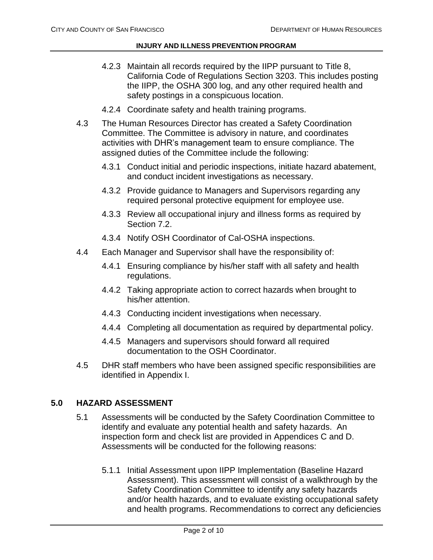- 4.2.3 Maintain all records required by the IIPP pursuant to Title 8, California Code of Regulations Section 3203. This includes posting the IIPP, the OSHA 300 log, and any other required health and safety postings in a conspicuous location.
- 4.2.4 Coordinate safety and health training programs.
- 4.3 The Human Resources Director has created a Safety Coordination Committee. The Committee is advisory in nature, and coordinates activities with DHR's management team to ensure compliance. The assigned duties of the Committee include the following:
	- 4.3.1 Conduct initial and periodic inspections, initiate hazard abatement, and conduct incident investigations as necessary.
	- 4.3.2 Provide guidance to Managers and Supervisors regarding any required personal protective equipment for employee use.
	- 4.3.3 Review all occupational injury and illness forms as required by Section 7.2.
	- 4.3.4 Notify OSH Coordinator of Cal-OSHA inspections.
- 4.4 Each Manager and Supervisor shall have the responsibility of:
	- 4.4.1 Ensuring compliance by his/her staff with all safety and health regulations.
	- 4.4.2 Taking appropriate action to correct hazards when brought to his/her attention.
	- 4.4.3 Conducting incident investigations when necessary.
	- 4.4.4 Completing all documentation as required by departmental policy.
	- 4.4.5 Managers and supervisors should forward all required documentation to the OSH Coordinator.
- 4.5 DHR staff members who have been assigned specific responsibilities are identified in Appendix I.

### **5.0 HAZARD ASSESSMENT**

- 5.1 Assessments will be conducted by the Safety Coordination Committee to identify and evaluate any potential health and safety hazards. An inspection form and check list are provided in Appendices C and D. Assessments will be conducted for the following reasons:
	- 5.1.1 Initial Assessment upon IIPP Implementation (Baseline Hazard Assessment). This assessment will consist of a walkthrough by the Safety Coordination Committee to identify any safety hazards and/or health hazards, and to evaluate existing occupational safety and health programs. Recommendations to correct any deficiencies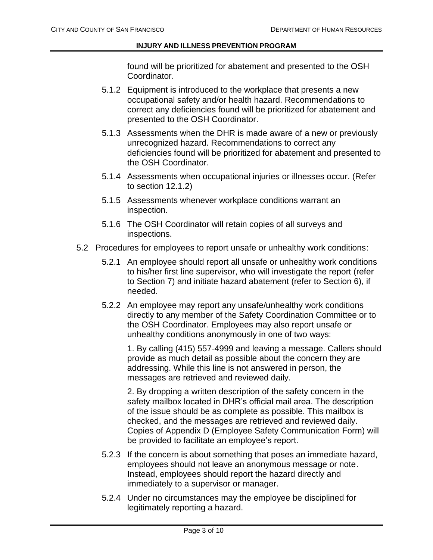found will be prioritized for abatement and presented to the OSH Coordinator.

- 5.1.2 Equipment is introduced to the workplace that presents a new occupational safety and/or health hazard. Recommendations to correct any deficiencies found will be prioritized for abatement and presented to the OSH Coordinator.
- 5.1.3 Assessments when the DHR is made aware of a new or previously unrecognized hazard. Recommendations to correct any deficiencies found will be prioritized for abatement and presented to the OSH Coordinator.
- 5.1.4 Assessments when occupational injuries or illnesses occur. (Refer to section 12.1.2)
- 5.1.5 Assessments whenever workplace conditions warrant an inspection.
- 5.1.6 The OSH Coordinator will retain copies of all surveys and inspections.
- 5.2 Procedures for employees to report unsafe or unhealthy work conditions:
	- 5.2.1 An employee should report all unsafe or unhealthy work conditions to his/her first line supervisor, who will investigate the report (refer to Section 7) and initiate hazard abatement (refer to Section 6), if needed.
	- 5.2.2 An employee may report any unsafe/unhealthy work conditions directly to any member of the Safety Coordination Committee or to the OSH Coordinator. Employees may also report unsafe or unhealthy conditions anonymously in one of two ways:

1. By calling (415) 557-4999 and leaving a message. Callers should provide as much detail as possible about the concern they are addressing. While this line is not answered in person, the messages are retrieved and reviewed daily.

2. By dropping a written description of the safety concern in the safety mailbox located in DHR's official mail area. The description of the issue should be as complete as possible. This mailbox is checked, and the messages are retrieved and reviewed daily. Copies of Appendix D (Employee Safety Communication Form) will be provided to facilitate an employee's report.

- 5.2.3 If the concern is about something that poses an immediate hazard, employees should not leave an anonymous message or note. Instead, employees should report the hazard directly and immediately to a supervisor or manager.
- 5.2.4 Under no circumstances may the employee be disciplined for legitimately reporting a hazard.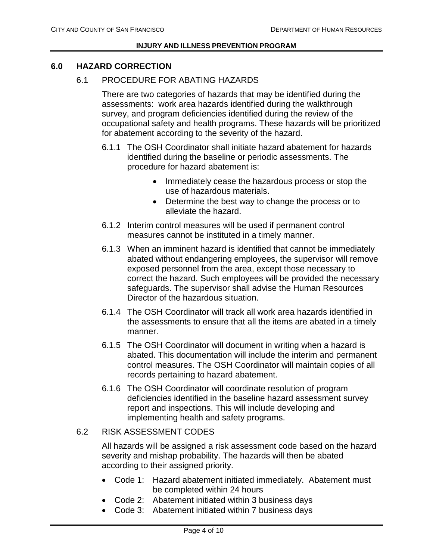## **6.0 HAZARD CORRECTION**

## 6.1 PROCEDURE FOR ABATING HAZARDS

There are two categories of hazards that may be identified during the assessments: work area hazards identified during the walkthrough survey, and program deficiencies identified during the review of the occupational safety and health programs. These hazards will be prioritized for abatement according to the severity of the hazard.

- 6.1.1 The OSH Coordinator shall initiate hazard abatement for hazards identified during the baseline or periodic assessments. The procedure for hazard abatement is:
	- Immediately cease the hazardous process or stop the use of hazardous materials.
	- Determine the best way to change the process or to alleviate the hazard.
- 6.1.2 Interim control measures will be used if permanent control measures cannot be instituted in a timely manner.
- 6.1.3 When an imminent hazard is identified that cannot be immediately abated without endangering employees, the supervisor will remove exposed personnel from the area, except those necessary to correct the hazard. Such employees will be provided the necessary safeguards. The supervisor shall advise the Human Resources Director of the hazardous situation.
- 6.1.4 The OSH Coordinator will track all work area hazards identified in the assessments to ensure that all the items are abated in a timely manner.
- 6.1.5 The OSH Coordinator will document in writing when a hazard is abated. This documentation will include the interim and permanent control measures. The OSH Coordinator will maintain copies of all records pertaining to hazard abatement.
- 6.1.6 The OSH Coordinator will coordinate resolution of program deficiencies identified in the baseline hazard assessment survey report and inspections. This will include developing and implementing health and safety programs.

## 6.2 RISK ASSESSMENT CODES

All hazards will be assigned a risk assessment code based on the hazard severity and mishap probability. The hazards will then be abated according to their assigned priority.

- Code 1: Hazard abatement initiated immediately. Abatement must be completed within 24 hours
- Code 2: Abatement initiated within 3 business days
- Code 3: Abatement initiated within 7 business days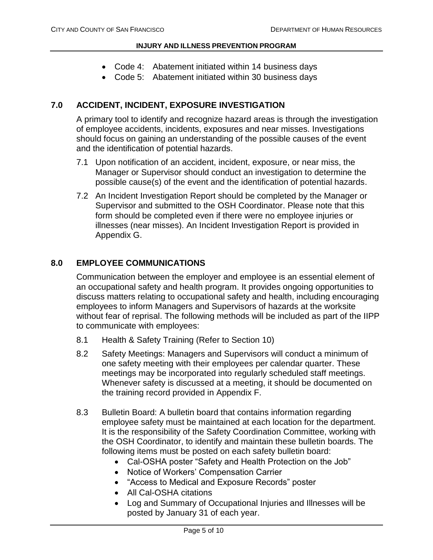- Code 4: Abatement initiated within 14 business days
- Code 5: Abatement initiated within 30 business days

## **7.0 ACCIDENT, INCIDENT, EXPOSURE INVESTIGATION**

A primary tool to identify and recognize hazard areas is through the investigation of employee accidents, incidents, exposures and near misses. Investigations should focus on gaining an understanding of the possible causes of the event and the identification of potential hazards.

- 7.1 Upon notification of an accident, incident, exposure, or near miss, the Manager or Supervisor should conduct an investigation to determine the possible cause(s) of the event and the identification of potential hazards.
- 7.2 An Incident Investigation Report should be completed by the Manager or Supervisor and submitted to the OSH Coordinator. Please note that this form should be completed even if there were no employee injuries or illnesses (near misses). An Incident Investigation Report is provided in Appendix G.

# **8.0 EMPLOYEE COMMUNICATIONS**

Communication between the employer and employee is an essential element of an occupational safety and health program. It provides ongoing opportunities to discuss matters relating to occupational safety and health, including encouraging employees to inform Managers and Supervisors of hazards at the worksite without fear of reprisal. The following methods will be included as part of the IIPP to communicate with employees:

- 8.1 Health & Safety Training (Refer to Section 10)
- 8.2 Safety Meetings: Managers and Supervisors will conduct a minimum of one safety meeting with their employees per calendar quarter. These meetings may be incorporated into regularly scheduled staff meetings. Whenever safety is discussed at a meeting, it should be documented on the training record provided in Appendix F.
- 8.3 Bulletin Board: A bulletin board that contains information regarding employee safety must be maintained at each location for the department. It is the responsibility of the Safety Coordination Committee, working with the OSH Coordinator, to identify and maintain these bulletin boards. The following items must be posted on each safety bulletin board:
	- Cal-OSHA poster "Safety and Health Protection on the Job"
	- Notice of Workers' Compensation Carrier
	- "Access to Medical and Exposure Records" poster
	- All Cal-OSHA citations
	- Log and Summary of Occupational Injuries and Illnesses will be posted by January 31 of each year.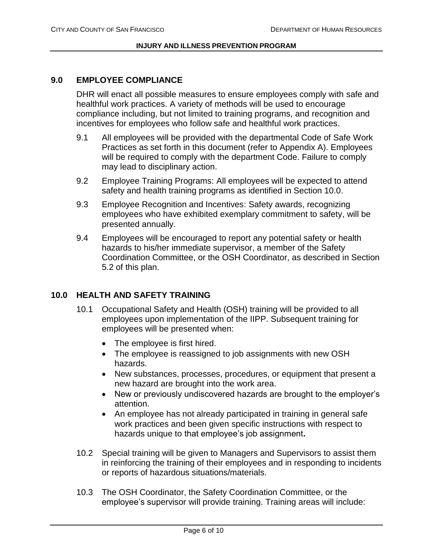## **9.0 EMPLOYEE COMPLIANCE**

DHR will enact all possible measures to ensure employees comply with safe and healthful work practices. A variety of methods will be used to encourage compliance including, but not limited to training programs, and recognition and incentives for employees who follow safe and healthful work practices.

- 9.1 All employees will be provided with the departmental Code of Safe Work Practices as set forth in this document (refer to Appendix A). Employees will be required to comply with the department Code. Failure to comply may lead to disciplinary action.
- 9.2 Employee Training Programs: All employees will be expected to attend safety and health training programs as identified in Section 10.0.
- 9.3 Employee Recognition and Incentives: Safety awards, recognizing employees who have exhibited exemplary commitment to safety, will be presented annually.
- 9.4 Employees will be encouraged to report any potential safety or health hazards to his/her immediate supervisor, a member of the Safety Coordination Committee, or the OSH Coordinator, as described in Section 5.2 of this plan.

## **10.0 HEALTH AND SAFETY TRAINING**

- 10.1 Occupational Safety and Health (OSH) training will be provided to all employees upon implementation of the IIPP. Subsequent training for employees will be presented when:
	- The employee is first hired.
	- The employee is reassigned to job assignments with new OSH hazards.
	- New substances, processes, procedures, or equipment that present a new hazard are brought into the work area.
	- New or previously undiscovered hazards are brought to the employer's attention.
	- An employee has not already participated in training in general safe work practices and been given specific instructions with respect to hazards unique to that employee's job assignment**.**
- 10.2 Special training will be given to Managers and Supervisors to assist them in reinforcing the training of their employees and in responding to incidents or reports of hazardous situations/materials.
- 10.3 The OSH Coordinator, the Safety Coordination Committee, or the employee's supervisor will provide training. Training areas will include: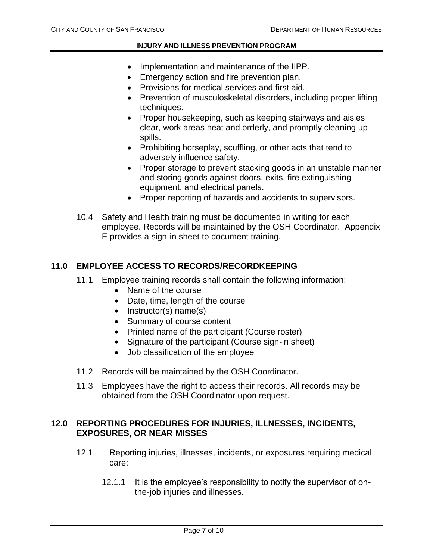- Implementation and maintenance of the IIPP.
- **Emergency action and fire prevention plan.**
- Provisions for medical services and first aid.
- Prevention of musculoskeletal disorders, including proper lifting techniques.
- Proper housekeeping, such as keeping stairways and aisles clear, work areas neat and orderly, and promptly cleaning up spills.
- Prohibiting horseplay, scuffling, or other acts that tend to adversely influence safety.
- Proper storage to prevent stacking goods in an unstable manner and storing goods against doors, exits, fire extinguishing equipment, and electrical panels.
- Proper reporting of hazards and accidents to supervisors.
- 10.4 Safety and Health training must be documented in writing for each employee. Records will be maintained by the OSH Coordinator. Appendix E provides a sign-in sheet to document training.

## **11.0 EMPLOYEE ACCESS TO RECORDS/RECORDKEEPING**

- 11.1 Employee training records shall contain the following information:
	- Name of the course
	- Date, time, length of the course
	- $\bullet$  Instructor(s) name(s)
	- Summary of course content
	- Printed name of the participant (Course roster)
	- Signature of the participant (Course sign-in sheet)
	- Job classification of the employee
- 11.2 Records will be maintained by the OSH Coordinator.
- 11.3 Employees have the right to access their records. All records may be obtained from the OSH Coordinator upon request.

# **12.0 REPORTING PROCEDURES FOR INJURIES, ILLNESSES, INCIDENTS, EXPOSURES, OR NEAR MISSES**

- 12.1 Reporting injuries, illnesses, incidents, or exposures requiring medical care:
	- 12.1.1 It is the employee's responsibility to notify the supervisor of onthe-job injuries and illnesses.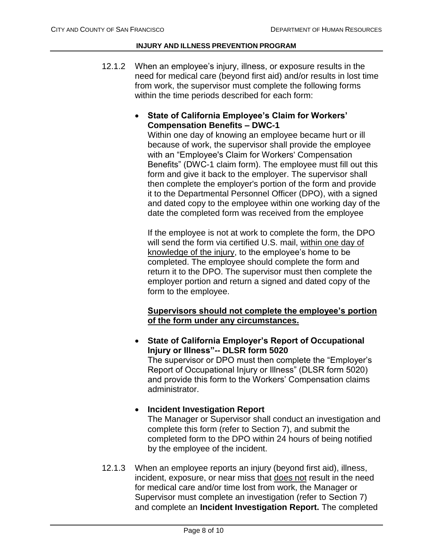12.1.2 When an employee's injury, illness, or exposure results in the need for medical care (beyond first aid) and/or results in lost time from work, the supervisor must complete the following forms within the time periods described for each form:

# **State of California Employee's Claim for Workers' Compensation Benefits – DWC-1**

Within one day of knowing an employee became hurt or ill because of work, the supervisor shall provide the employee with an "Employee's Claim for Workers' Compensation Benefits" (DWC-1 claim form). The employee must fill out this form and give it back to the employer. The supervisor shall then complete the employer's portion of the form and provide it to the Departmental Personnel Officer (DPO), with a signed and dated copy to the employee within one working day of the date the completed form was received from the employee

If the employee is not at work to complete the form, the DPO will send the form via certified U.S. mail, within one day of knowledge of the injury, to the employee's home to be completed. The employee should complete the form and return it to the DPO. The supervisor must then complete the employer portion and return a signed and dated copy of the form to the employee.

# **Supervisors should not complete the employee's portion of the form under any circumstances.**

 **State of California Employer's Report of Occupational Injury or Illness"-- DLSR form 5020** The supervisor or DPO must then complete the "Employer's Report of Occupational Injury or Illness" (DLSR form 5020) and provide this form to the Workers' Compensation claims administrator.

## **Incident Investigation Report**

The Manager or Supervisor shall conduct an investigation and complete this form (refer to Section 7), and submit the completed form to the DPO within 24 hours of being notified by the employee of the incident.

12.1.3 When an employee reports an injury (beyond first aid), illness, incident, exposure, or near miss that does not result in the need for medical care and/or time lost from work, the Manager or Supervisor must complete an investigation (refer to Section 7) and complete an **Incident Investigation Report.** The completed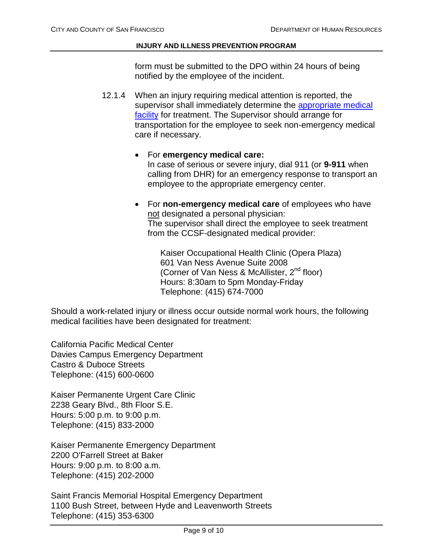form must be submitted to the DPO within 24 hours of being notified by the employee of the incident.

- 12.1.4 When an injury requiring medical attention is reported, the supervisor shall immediately determine the appropriate medical [facility](http://www.sfdhr.org/index.aspx?page=78) for treatment. The Supervisor should arrange for transportation for the employee to seek non-emergency medical care if necessary.
	- For **emergency medical care:** In case of serious or severe injury, dial 911 (or **9-911** when calling from DHR) for an emergency response to transport an employee to the appropriate emergency center.
	- For **non-emergency medical care** of employees who have not designated a personal physician: The supervisor shall direct the employee to seek treatment from the CCSF-designated medical provider:

Kaiser Occupational Health Clinic (Opera Plaza) 601 Van Ness Avenue Suite 2008 (Corner of Van Ness & McAllister, 2<sup>nd</sup> floor) Hours: 8:30am to 5pm Monday-Friday Telephone: (415) 674-7000

Should a work-related injury or illness occur outside normal work hours, the following medical facilities have been designated for treatment:

California Pacific Medical Center Davies Campus Emergency Department Castro & Duboce Streets Telephone: (415) 600-0600

Kaiser Permanente Urgent Care Clinic 2238 Geary Blvd., 8th Floor S.E. Hours: 5:00 p.m. to 9:00 p.m. Telephone: (415) 833-2000

Kaiser Permanente Emergency Department 2200 O'Farrell Street at Baker Hours: 9:00 p.m. to 8:00 a.m. Telephone: (415) 202-2000

Saint Francis Memorial Hospital Emergency Department 1100 Bush Street, between Hyde and Leavenworth Streets Telephone: (415) 353-6300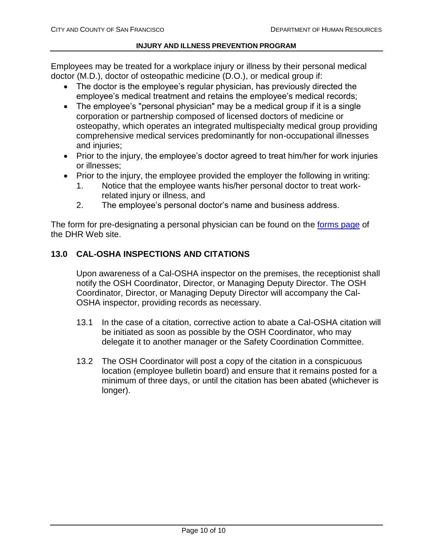Employees may be treated for a workplace injury or illness by their personal medical doctor (M.D.), doctor of osteopathic medicine (D.O.), or medical group if:

- The doctor is the employee's regular physician, has previously directed the employee's medical treatment and retains the employee's medical records;
- The employee's "personal physician" may be a medical group if it is a single corporation or partnership composed of licensed doctors of medicine or osteopathy, which operates an integrated multispecialty medical group providing comprehensive medical services predominantly for non-occupational illnesses and injuries:
- Prior to the injury, the employee's doctor agreed to treat him/her for work injuries or illnesses;
- Prior to the injury, the employee provided the employer the following in writing:
	- 1. Notice that the employee wants his/her personal doctor to treat workrelated injury or illness, and
	- 2. The employee's personal doctor's name and business address.

The form for pre-designating a personal physician can be found on the [forms page](http://www.sfdhr.org/index.aspx?page=88) of the DHR Web site.

# **13.0 CAL-OSHA INSPECTIONS AND CITATIONS**

Upon awareness of a Cal-OSHA inspector on the premises, the receptionist shall notify the OSH Coordinator, Director, or Managing Deputy Director. The OSH Coordinator, Director, or Managing Deputy Director will accompany the Cal-OSHA inspector, providing records as necessary.

- 13.1 In the case of a citation, corrective action to abate a Cal-OSHA citation will be initiated as soon as possible by the OSH Coordinator, who may delegate it to another manager or the Safety Coordination Committee.
- 13.2 The OSH Coordinator will post a copy of the citation in a conspicuous location (employee bulletin board) and ensure that it remains posted for a minimum of three days, or until the citation has been abated (whichever is longer).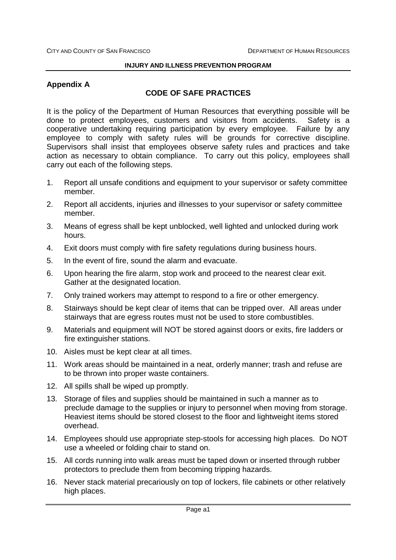# **Appendix A**

# **CODE OF SAFE PRACTICES**

It is the policy of the Department of Human Resources that everything possible will be done to protect employees, customers and visitors from accidents. Safety is a cooperative undertaking requiring participation by every employee. Failure by any employee to comply with safety rules will be grounds for corrective discipline. Supervisors shall insist that employees observe safety rules and practices and take action as necessary to obtain compliance. To carry out this policy, employees shall carry out each of the following steps.

- 1. Report all unsafe conditions and equipment to your supervisor or safety committee member.
- 2. Report all accidents, injuries and illnesses to your supervisor or safety committee member.
- 3. Means of egress shall be kept unblocked, well lighted and unlocked during work hours.
- 4. Exit doors must comply with fire safety regulations during business hours.
- 5. In the event of fire, sound the alarm and evacuate.
- 6. Upon hearing the fire alarm, stop work and proceed to the nearest clear exit. Gather at the designated location.
- 7. Only trained workers may attempt to respond to a fire or other emergency.
- 8. Stairways should be kept clear of items that can be tripped over. All areas under stairways that are egress routes must not be used to store combustibles.
- 9. Materials and equipment will NOT be stored against doors or exits, fire ladders or fire extinguisher stations.
- 10. Aisles must be kept clear at all times.
- 11. Work areas should be maintained in a neat, orderly manner; trash and refuse are to be thrown into proper waste containers.
- 12. All spills shall be wiped up promptly.
- 13. Storage of files and supplies should be maintained in such a manner as to preclude damage to the supplies or injury to personnel when moving from storage. Heaviest items should be stored closest to the floor and lightweight items stored overhead.
- 14. Employees should use appropriate step-stools for accessing high places. Do NOT use a wheeled or folding chair to stand on.
- 15. All cords running into walk areas must be taped down or inserted through rubber protectors to preclude them from becoming tripping hazards.
- 16. Never stack material precariously on top of lockers, file cabinets or other relatively high places.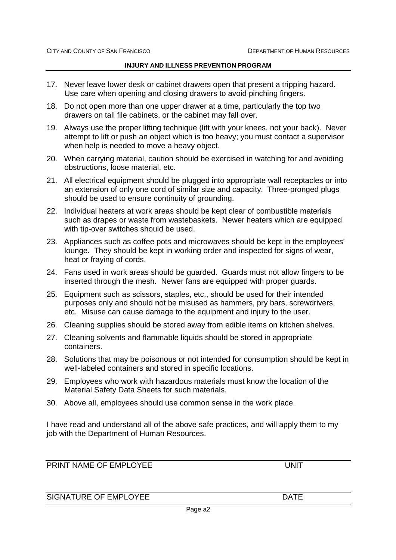- 17. Never leave lower desk or cabinet drawers open that present a tripping hazard. Use care when opening and closing drawers to avoid pinching fingers.
- 18. Do not open more than one upper drawer at a time, particularly the top two drawers on tall file cabinets, or the cabinet may fall over.
- 19. Always use the proper lifting technique (lift with your knees, not your back). Never attempt to lift or push an object which is too heavy; you must contact a supervisor when help is needed to move a heavy object.
- 20. When carrying material, caution should be exercised in watching for and avoiding obstructions, loose material, etc.
- 21. All electrical equipment should be plugged into appropriate wall receptacles or into an extension of only one cord of similar size and capacity. Three-pronged plugs should be used to ensure continuity of grounding.
- 22. Individual heaters at work areas should be kept clear of combustible materials such as drapes or waste from wastebaskets. Newer heaters which are equipped with tip-over switches should be used.
- 23. Appliances such as coffee pots and microwaves should be kept in the employees' lounge. They should be kept in working order and inspected for signs of wear, heat or fraying of cords.
- 24. Fans used in work areas should be guarded. Guards must not allow fingers to be inserted through the mesh. Newer fans are equipped with proper guards.
- 25. Equipment such as scissors, staples, etc., should be used for their intended purposes only and should not be misused as hammers, pry bars, screwdrivers, etc. Misuse can cause damage to the equipment and injury to the user.
- 26. Cleaning supplies should be stored away from edible items on kitchen shelves.
- 27. Cleaning solvents and flammable liquids should be stored in appropriate containers.
- 28. Solutions that may be poisonous or not intended for consumption should be kept in well-labeled containers and stored in specific locations.
- 29. Employees who work with hazardous materials must know the location of the Material Safety Data Sheets for such materials.
- 30. Above all, employees should use common sense in the work place.

I have read and understand all of the above safe practices, and will apply them to my job with the Department of Human Resources.

PRINT NAME OF FMPLOYEE UNIT

SIGNATURE OF EMPLOYEE **DATE DATE**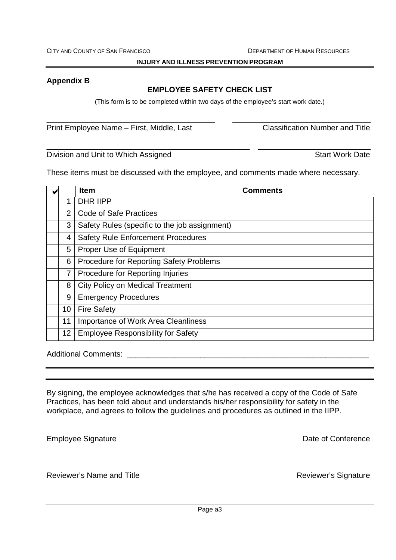# **Appendix B**

# **EMPLOYEE SAFETY CHECK LIST**

(This form is to be completed within two days of the employee's start work date.)

\_\_\_\_\_\_\_\_\_\_\_\_\_\_\_\_\_\_\_\_\_\_\_\_\_\_\_\_\_\_\_\_\_\_\_\_\_\_\_ \_\_\_\_\_\_\_\_\_\_\_\_\_\_\_\_\_\_\_\_\_\_\_\_\_\_\_\_\_\_\_\_

\_\_\_\_\_\_\_\_\_\_\_\_\_\_\_\_\_\_\_\_\_\_\_\_\_\_\_\_\_\_\_\_\_\_\_\_\_\_\_\_\_\_\_\_\_\_\_ \_\_\_\_\_\_\_\_\_\_\_\_\_\_\_\_\_\_\_\_\_\_\_\_\_\_

Print Employee Name – First, Middle, Last Classification Number and Title

Division and Unit to Which Assigned **Start Work Date** Start Work Date

These items must be discussed with the employee, and comments made where necessary.

|                 | <b>Item</b>                                   | <b>Comments</b> |
|-----------------|-----------------------------------------------|-----------------|
| 1               | <b>DHR IIPP</b>                               |                 |
| $\overline{2}$  | <b>Code of Safe Practices</b>                 |                 |
| 3               | Safety Rules (specific to the job assignment) |                 |
| 4               | <b>Safety Rule Enforcement Procedures</b>     |                 |
| 5               | Proper Use of Equipment                       |                 |
| 6               | Procedure for Reporting Safety Problems       |                 |
| $\overline{7}$  | Procedure for Reporting Injuries              |                 |
| 8               | <b>City Policy on Medical Treatment</b>       |                 |
| 9               | <b>Emergency Procedures</b>                   |                 |
| 10              | <b>Fire Safety</b>                            |                 |
| 11              | Importance of Work Area Cleanliness           |                 |
| 12 <sup>2</sup> | <b>Employee Responsibility for Safety</b>     |                 |

Additional Comments: \_\_\_\_\_\_\_\_\_\_\_\_\_\_\_\_\_\_\_\_\_\_\_\_\_\_\_\_\_\_\_\_\_\_\_\_\_\_\_\_\_\_\_\_\_\_\_\_\_\_\_\_\_\_\_\_

By signing, the employee acknowledges that s/he has received a copy of the Code of Safe Practices, has been told about and understands his/her responsibility for safety in the workplace, and agrees to follow the guidelines and procedures as outlined in the IIPP.

Employee Signature **Employee** Signature **Date of Conference** 

Reviewer's Name and Title **Reviewer's Signature** Reviewer's Signature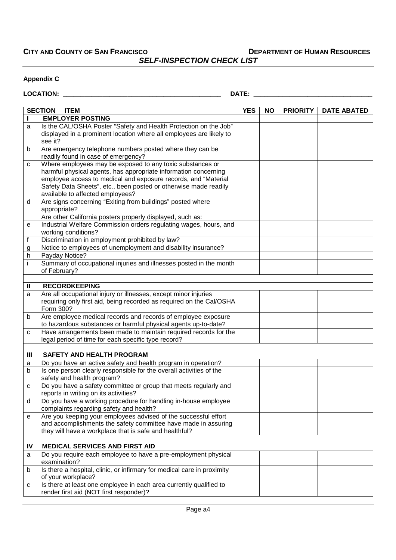**CITY AND COUNTY OF SAN FRANCISCO DEPARTMENT OF HUMAN RESOURCES** *SELF-INSPECTION CHECK LIST*

#### **Appendix C**

## **LOCATION: \_\_\_\_\_\_\_\_\_\_\_\_\_\_\_\_\_\_\_\_\_\_\_\_\_\_\_\_\_\_\_\_\_\_\_\_\_\_\_\_\_\_\_\_ DATE: \_\_\_\_\_\_\_\_\_\_\_\_\_\_\_\_\_\_\_\_\_\_\_\_\_\_\_\_\_\_\_\_\_**

|                | <b>SECTION</b><br><b>ITEM</b>                                                                           | <b>YES</b> | <b>NO</b> | <b>PRIORITY</b> | <b>DATE ABATED</b> |
|----------------|---------------------------------------------------------------------------------------------------------|------------|-----------|-----------------|--------------------|
| L              | <b>EMPLOYER POSTING</b>                                                                                 |            |           |                 |                    |
| a              | Is the CAL/OSHA Poster "Safety and Health Protection on the Job"                                        |            |           |                 |                    |
|                | displayed in a prominent location where all employees are likely to                                     |            |           |                 |                    |
|                | see it?                                                                                                 |            |           |                 |                    |
| b              | Are emergency telephone numbers posted where they can be                                                |            |           |                 |                    |
|                | readily found in case of emergency?                                                                     |            |           |                 |                    |
| $\mathbf{C}$   | Where employees may be exposed to any toxic substances or                                               |            |           |                 |                    |
|                | harmful physical agents, has appropriate information concerning                                         |            |           |                 |                    |
|                | employee access to medical and exposure records, and "Material                                          |            |           |                 |                    |
|                | Safety Data Sheets", etc., been posted or otherwise made readily                                        |            |           |                 |                    |
|                | available to affected employees?                                                                        |            |           |                 |                    |
| d              | Are signs concerning "Exiting from buildings" posted where                                              |            |           |                 |                    |
|                | appropriate?<br>Are other California posters properly displayed, such as:                               |            |           |                 |                    |
| $\mathbf e$    | Industrial Welfare Commission orders regulating wages, hours, and                                       |            |           |                 |                    |
|                | working conditions?                                                                                     |            |           |                 |                    |
| $\overline{f}$ | Discrimination in employment prohibited by law?                                                         |            |           |                 |                    |
| g              | Notice to employees of unemployment and disability insurance?                                           |            |           |                 |                    |
| h              | Payday Notice?                                                                                          |            |           |                 |                    |
| j.             | Summary of occupational injuries and illnesses posted in the month                                      |            |           |                 |                    |
|                | of February?                                                                                            |            |           |                 |                    |
|                |                                                                                                         |            |           |                 |                    |
| $\mathbf{H}$   | <b>RECORDKEEPING</b>                                                                                    |            |           |                 |                    |
| a              | Are all occupational injury or illnesses, except minor injuries                                         |            |           |                 |                    |
|                | requiring only first aid, being recorded as required on the Cal/OSHA                                    |            |           |                 |                    |
|                | Form 300?                                                                                               |            |           |                 |                    |
| b              | Are employee medical records and records of employee exposure                                           |            |           |                 |                    |
|                | to hazardous substances or harmful physical agents up-to-date?                                          |            |           |                 |                    |
| c              | Have arrangements been made to maintain required records for the                                        |            |           |                 |                    |
|                | legal period of time for each specific type record?                                                     |            |           |                 |                    |
|                |                                                                                                         |            |           |                 |                    |
| Ш              | <b>SAFETY AND HEALTH PROGRAM</b>                                                                        |            |           |                 |                    |
| a              | Do you have an active safety and health program in operation?                                           |            |           |                 |                    |
| b              | Is one person clearly responsible for the overall activities of the                                     |            |           |                 |                    |
|                | safety and health program?                                                                              |            |           |                 |                    |
| c              | Do you have a safety committee or group that meets regularly and                                        |            |           |                 |                    |
|                | reports in writing on its activities?<br>Do you have a working procedure for handling in-house employee |            |           |                 |                    |
| d              | complaints regarding safety and health?                                                                 |            |           |                 |                    |
| е              | Are you keeping your employees advised of the successful effort                                         |            |           |                 |                    |
|                | and accomplishments the safety committee have made in assuring                                          |            |           |                 |                    |
|                | they will have a workplace that is safe and healthful?                                                  |            |           |                 |                    |
|                |                                                                                                         |            |           |                 |                    |
| IV             | <b>MEDICAL SERVICES AND FIRST AID</b>                                                                   |            |           |                 |                    |
| a              | Do you require each employee to have a pre-employment physical                                          |            |           |                 |                    |
|                | examination?                                                                                            |            |           |                 |                    |
| b              | Is there a hospital, clinic, or infirmary for medical care in proximity                                 |            |           |                 |                    |
|                | of your workplace?                                                                                      |            |           |                 |                    |
| с              | Is there at least one employee in each area currently qualified to                                      |            |           |                 |                    |
|                | render first aid (NOT first responder)?                                                                 |            |           |                 |                    |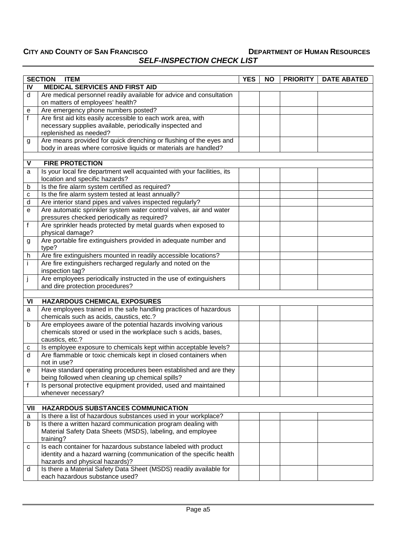# *SELF-INSPECTION CHECK LIST*

|              | <b>ITEM</b><br><b>SECTION</b>                                                                                                                       | <b>YES</b> | <b>NO</b> | <b>PRIORITY</b> | <b>DATE ABATED</b> |
|--------------|-----------------------------------------------------------------------------------------------------------------------------------------------------|------------|-----------|-----------------|--------------------|
| IV           | <b>MEDICAL SERVICES AND FIRST AID</b>                                                                                                               |            |           |                 |                    |
| d            | Are medical personnel readily available for advice and consultation<br>on matters of employees' health?                                             |            |           |                 |                    |
| е            | Are emergency phone numbers posted?                                                                                                                 |            |           |                 |                    |
| $\mathsf{f}$ | Are first aid kits easily accessible to each work area, with<br>necessary supplies available, periodically inspected and<br>replenished as needed?  |            |           |                 |                    |
| g            | Are means provided for quick drenching or flushing of the eyes and                                                                                  |            |           |                 |                    |
|              | body in areas where corrosive liquids or materials are handled?                                                                                     |            |           |                 |                    |
|              |                                                                                                                                                     |            |           |                 |                    |
| V            | <b>FIRE PROTECTION</b>                                                                                                                              |            |           |                 |                    |
| a            | Is your local fire department well acquainted with your facilities, its<br>location and specific hazards?                                           |            |           |                 |                    |
| b            | Is the fire alarm system certified as required?                                                                                                     |            |           |                 |                    |
| с            | Is the fire alarm system tested at least annually?                                                                                                  |            |           |                 |                    |
| d            | Are interior stand pipes and valves inspected regularly?                                                                                            |            |           |                 |                    |
| e            | Are automatic sprinkler system water control valves, air and water<br>pressures checked periodically as required?                                   |            |           |                 |                    |
| f            | Are sprinkler heads protected by metal guards when exposed to<br>physical damage?                                                                   |            |           |                 |                    |
| g            | Are portable fire extinguishers provided in adequate number and<br>type?                                                                            |            |           |                 |                    |
| h            | Are fire extinguishers mounted in readily accessible locations?                                                                                     |            |           |                 |                    |
| j.           | Are fire extinguishers recharged regularly and noted on the<br>inspection tag?                                                                      |            |           |                 |                    |
| j            | Are employees periodically instructed in the use of extinguishers<br>and dire protection procedures?                                                |            |           |                 |                    |
|              |                                                                                                                                                     |            |           |                 |                    |
| VI           | <b>HAZARDOUS CHEMICAL EXPOSURES</b>                                                                                                                 |            |           |                 |                    |
| a            | Are employees trained in the safe handling practices of hazardous<br>chemicals such as acids, caustics, etc.?                                       |            |           |                 |                    |
| b            | Are employees aware of the potential hazards involving various<br>chemicals stored or used in the workplace such s acids, bases,<br>caustics, etc.? |            |           |                 |                    |
| c            | Is employee exposure to chemicals kept within acceptable levels?                                                                                    |            |           |                 |                    |
| d            | Are flammable or toxic chemicals kept in closed containers when<br>not in use?                                                                      |            |           |                 |                    |
|              | Have standard operating procedures been established and are they<br>being followed when cleaning up chemical spills?                                |            |           |                 |                    |
| f            | Is personal protective equipment provided, used and maintained<br>whenever necessary?                                                               |            |           |                 |                    |
|              |                                                                                                                                                     |            |           |                 |                    |
| VII          | <b>HAZARDOUS SUBSTANCES COMMUNICATION</b>                                                                                                           |            |           |                 |                    |
| a            | Is there a list of hazardous substances used in your workplace?                                                                                     |            |           |                 |                    |
| b            | Is there a written hazard communication program dealing with<br>Material Safety Data Sheets (MSDS), labeling, and employee<br>training?             |            |           |                 |                    |
| С            | Is each container for hazardous substance labeled with product                                                                                      |            |           |                 |                    |
|              | identity and a hazard warning (communication of the specific health<br>hazards and physical hazards)?                                               |            |           |                 |                    |
| d            | Is there a Material Safety Data Sheet (MSDS) readily available for<br>each hazardous substance used?                                                |            |           |                 |                    |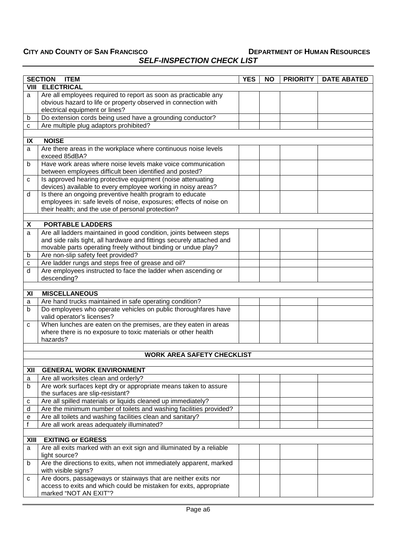| <b>SELF-INSPECTION CHECK LIST</b> |
|-----------------------------------|
|-----------------------------------|

|        | <b>SECTION</b><br><b>ITEM</b><br><b>PRIORITY</b><br><b>DATE ABATED</b><br><b>YES</b><br><b>NO</b>                                                                                   |  |  |  |  |  |
|--------|-------------------------------------------------------------------------------------------------------------------------------------------------------------------------------------|--|--|--|--|--|
|        | <b>VIII ELECTRICAL</b>                                                                                                                                                              |  |  |  |  |  |
| a      | Are all employees required to report as soon as practicable any<br>obvious hazard to life or property observed in connection with<br>electrical equipment or lines?                 |  |  |  |  |  |
| b      | Do extension cords being used have a grounding conductor?                                                                                                                           |  |  |  |  |  |
| C      | Are multiple plug adaptors prohibited?                                                                                                                                              |  |  |  |  |  |
|        |                                                                                                                                                                                     |  |  |  |  |  |
| IX     | <b>NOISE</b>                                                                                                                                                                        |  |  |  |  |  |
| a      | Are there areas in the workplace where continuous noise levels<br>exceed 85dBA?                                                                                                     |  |  |  |  |  |
| b      | Have work areas where noise levels make voice communication<br>between employees difficult been identified and posted?                                                              |  |  |  |  |  |
| c      | Is approved hearing protective equipment (noise attenuating                                                                                                                         |  |  |  |  |  |
|        | devices) available to every employee working in noisy areas?                                                                                                                        |  |  |  |  |  |
| d      | Is there an ongoing preventive health program to educate<br>employees in: safe levels of noise, exposures; effects of noise on<br>their health; and the use of personal protection? |  |  |  |  |  |
| X      | <b>PORTABLE LADDERS</b>                                                                                                                                                             |  |  |  |  |  |
| a      | Are all ladders maintained in good condition, joints between steps                                                                                                                  |  |  |  |  |  |
|        | and side rails tight, all hardware and fittings securely attached and<br>movable parts operating freely without binding or undue play?                                              |  |  |  |  |  |
| b      | Are non-slip safety feet provided?                                                                                                                                                  |  |  |  |  |  |
| c      | Are ladder rungs and steps free of grease and oil?                                                                                                                                  |  |  |  |  |  |
| d      | Are employees instructed to face the ladder when ascending or<br>descending?                                                                                                        |  |  |  |  |  |
|        |                                                                                                                                                                                     |  |  |  |  |  |
| XI     | <b>MISCELLANEOUS</b>                                                                                                                                                                |  |  |  |  |  |
| a<br>b | Are hand trucks maintained in safe operating condition?<br>Do employees who operate vehicles on public thoroughfares have                                                           |  |  |  |  |  |
|        | valid operator's licenses?                                                                                                                                                          |  |  |  |  |  |
| с      | When lunches are eaten on the premises, are they eaten in areas<br>where there is no exposure to toxic materials or other health<br>hazards?                                        |  |  |  |  |  |
|        |                                                                                                                                                                                     |  |  |  |  |  |
|        | <b>WORK AREA SAFETY CHECKLIST</b>                                                                                                                                                   |  |  |  |  |  |
|        |                                                                                                                                                                                     |  |  |  |  |  |
| XII    | <b>GENERAL WORK ENVIRONMENT</b>                                                                                                                                                     |  |  |  |  |  |
| а      | Are all worksites clean and orderly?                                                                                                                                                |  |  |  |  |  |
| b      | Are work surfaces kept dry or appropriate means taken to assure<br>the surfaces are slip-resistant?                                                                                 |  |  |  |  |  |
| с      | Are all spilled materials or liquids cleaned up immediately?                                                                                                                        |  |  |  |  |  |
| d      | Are the minimum number of toilets and washing facilities provided?                                                                                                                  |  |  |  |  |  |
| е      | Are all toilets and washing facilities clean and sanitary?                                                                                                                          |  |  |  |  |  |
| f      | Are all work areas adequately illuminated?                                                                                                                                          |  |  |  |  |  |
|        |                                                                                                                                                                                     |  |  |  |  |  |
| XIII   | <b>EXITING or EGRESS</b>                                                                                                                                                            |  |  |  |  |  |
| a      | Are all exits marked with an exit sign and illuminated by a reliable<br>light source?                                                                                               |  |  |  |  |  |
| b      | Are the directions to exits, when not immediately apparent, marked<br>with visible signs?                                                                                           |  |  |  |  |  |
| с      | Are doors, passageways or stairways that are neither exits nor<br>access to exits and which could be mistaken for exits, appropriate<br>marked "NOT AN EXIT"?                       |  |  |  |  |  |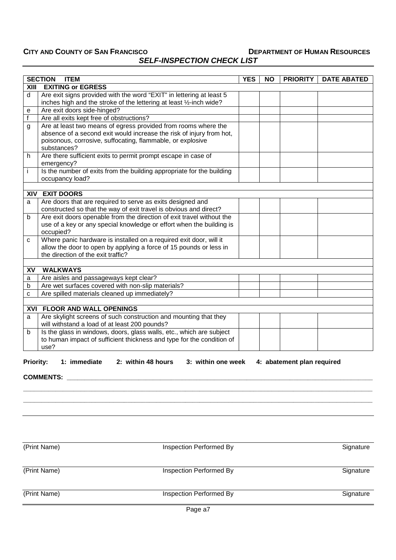# *SELF-INSPECTION CHECK LIST*

|      | <b>SECTION</b><br><b>ITEM</b>                                                                                                                 | <b>YES</b> | <b>NO</b> | <b>PRIORITY</b> | <b>DATE ABATED</b> |
|------|-----------------------------------------------------------------------------------------------------------------------------------------------|------------|-----------|-----------------|--------------------|
| XIII | <b>EXITING or EGRESS</b>                                                                                                                      |            |           |                 |                    |
| d    | Are exit signs provided with the word "EXIT" in lettering at least 5                                                                          |            |           |                 |                    |
|      | inches high and the stroke of the lettering at least 1/2-inch wide?                                                                           |            |           |                 |                    |
| e    | Are exit doors side-hinged?                                                                                                                   |            |           |                 |                    |
| f    | Are all exits kept free of obstructions?                                                                                                      |            |           |                 |                    |
| g    | Are at least two means of egress provided from rooms where the                                                                                |            |           |                 |                    |
|      | absence of a second exit would increase the risk of injury from hot,                                                                          |            |           |                 |                    |
|      | poisonous, corrosive, suffocating, flammable, or explosive                                                                                    |            |           |                 |                    |
|      | substances?                                                                                                                                   |            |           |                 |                    |
| h    | Are there sufficient exits to permit prompt escape in case of                                                                                 |            |           |                 |                    |
|      | emergency?                                                                                                                                    |            |           |                 |                    |
| j.   | Is the number of exits from the building appropriate for the building                                                                         |            |           |                 |                    |
|      | occupancy load?                                                                                                                               |            |           |                 |                    |
|      |                                                                                                                                               |            |           |                 |                    |
|      | <b>XIV EXIT DOORS</b>                                                                                                                         |            |           |                 |                    |
| a    | Are doors that are required to serve as exits designed and                                                                                    |            |           |                 |                    |
|      | constructed so that the way of exit travel is obvious and direct?                                                                             |            |           |                 |                    |
| b    | Are exit doors openable from the direction of exit travel without the<br>use of a key or any special knowledge or effort when the building is |            |           |                 |                    |
|      | occupied?                                                                                                                                     |            |           |                 |                    |
| C    | Where panic hardware is installed on a required exit door, will it                                                                            |            |           |                 |                    |
|      | allow the door to open by applying a force of 15 pounds or less in                                                                            |            |           |                 |                    |
|      | the direction of the exit traffic?                                                                                                            |            |           |                 |                    |
|      |                                                                                                                                               |            |           |                 |                    |
| XV   | <b>WALKWAYS</b>                                                                                                                               |            |           |                 |                    |
| a    | Are aisles and passageways kept clear?                                                                                                        |            |           |                 |                    |
| b    | Are wet surfaces covered with non-slip materials?                                                                                             |            |           |                 |                    |
| C    | Are spilled materials cleaned up immediately?                                                                                                 |            |           |                 |                    |
|      |                                                                                                                                               |            |           |                 |                    |
|      | <b>XVI FLOOR AND WALL OPENINGS</b>                                                                                                            |            |           |                 |                    |
| a    | Are skylight screens of such construction and mounting that they                                                                              |            |           |                 |                    |
|      | will withstand a load of at least 200 pounds?                                                                                                 |            |           |                 |                    |
| b    | Is the glass in windows, doors, glass walls, etc., which are subject                                                                          |            |           |                 |                    |
|      | to human impact of sufficient thickness and type for the condition of                                                                         |            |           |                 |                    |
|      | use?                                                                                                                                          |            |           |                 |                    |

# **Priority: 1: immediate 2: within 48 hours 3: within one week 4: abatement plan required**

**COMMENTS: \_\_\_\_\_\_\_\_\_\_\_\_\_\_\_\_\_\_\_\_\_\_\_\_\_\_\_\_\_\_\_\_\_\_\_\_\_\_\_\_\_\_\_\_\_\_\_\_\_\_\_\_\_\_\_\_\_\_\_\_\_\_\_\_\_\_\_\_\_\_\_\_\_\_\_\_\_\_\_\_\_\_\_\_\_**

| (Print Name) | Inspection Performed By                              | Signature |
|--------------|------------------------------------------------------|-----------|
| (Print Name) | Inspection Performed By                              | Signature |
| (Print Name) | Inspection Performed By                              | Signature |
|              | $\overline{\phantom{0}}$<br>$\overline{\phantom{0}}$ |           |

**\_\_\_\_\_\_\_\_\_\_\_\_\_\_\_\_\_\_\_\_\_\_\_\_\_\_\_\_\_\_\_\_\_\_\_\_\_\_\_\_\_\_\_\_\_\_\_\_\_\_\_\_\_\_\_\_\_\_\_\_\_\_\_\_\_\_\_\_\_\_\_\_\_\_\_\_\_\_\_\_\_\_\_\_\_\_\_\_\_\_\_\_\_\_\_\_\_ \_\_\_\_\_\_\_\_\_\_\_\_\_\_\_\_\_\_\_\_\_\_\_\_\_\_\_\_\_\_\_\_\_\_\_\_\_\_\_\_\_\_\_\_\_\_\_\_\_\_\_\_\_\_\_\_\_\_\_\_\_\_\_\_\_\_\_\_\_\_\_\_\_\_\_\_\_\_\_\_\_\_\_\_\_\_\_\_\_\_\_\_\_\_\_\_\_**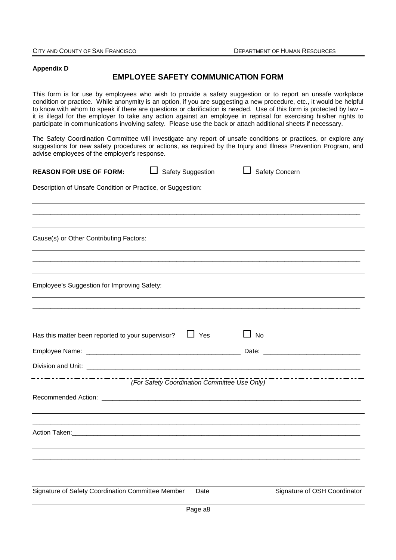#### **Appendix D**

## **EMPLOYEE SAFETY COMMUNICATION FORM**

This form is for use by employees who wish to provide a safety suggestion or to report an unsafe workplace condition or practice. While anonymity is an option, if you are suggesting a new procedure, etc., it would be helpful to know with whom to speak if there are questions or clarification is needed. Use of this form is protected by law – it is illegal for the employer to take any action against an employee in reprisal for exercising his/her rights to participate in communications involving safety. Please use the back or attach additional sheets if necessary.

The Safety Coordination Committee will investigate any report of unsafe conditions or practices, or explore any suggestions for new safety procedures or actions, as required by the Injury and Illness Prevention Program, and advise employees of the employer's response.

| <b>REASON FOR USE OF FORM:</b>                              | □ Safety Suggestion                          |      | Safety Concern |                              |
|-------------------------------------------------------------|----------------------------------------------|------|----------------|------------------------------|
| Description of Unsafe Condition or Practice, or Suggestion: |                                              |      |                |                              |
|                                                             |                                              |      |                |                              |
| Cause(s) or Other Contributing Factors:                     |                                              |      |                |                              |
|                                                             |                                              |      |                |                              |
| Employee's Suggestion for Improving Safety:                 |                                              |      |                |                              |
|                                                             |                                              |      |                |                              |
| Has this matter been reported to your supervisor?           | $\Box$ Yes                                   |      | $\Box$ No      |                              |
|                                                             |                                              |      |                |                              |
|                                                             |                                              |      |                |                              |
|                                                             | (For Safety Coordination Committee Use Only) |      |                |                              |
|                                                             |                                              |      |                |                              |
|                                                             |                                              |      |                |                              |
|                                                             |                                              |      |                |                              |
| Signature of Safety Coordination Committee Member           |                                              | Date |                | Signature of OSH Coordinator |
|                                                             |                                              |      |                |                              |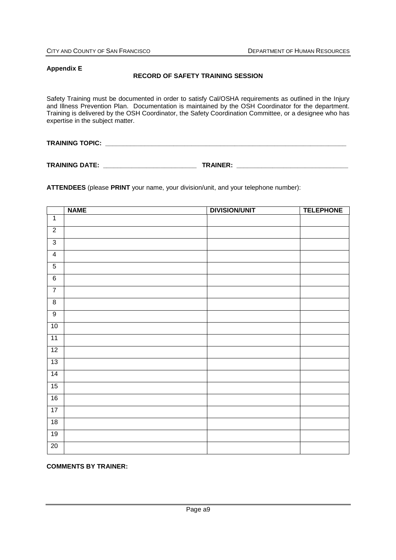#### **Appendix E**

#### **RECORD OF SAFETY TRAINING SESSION**

Safety Training must be documented in order to satisfy Cal/OSHA requirements as outlined in the Injury and Illness Prevention Plan. Documentation is maintained by the OSH Coordinator for the department. Training is delivered by the OSH Coordinator, the Safety Coordination Committee, or a designee who has expertise in the subject matter.

**TRAINING TOPIC: We are all that the contract of the contract of the contract of the contract of the contract of the contract of the contract of the contract of the contract of the contract of the contract of the contrac** 

**TRAINING DATE: \_\_\_\_\_\_\_\_\_\_\_\_\_\_\_\_\_\_\_\_\_\_\_\_\_\_ TRAINER: \_\_\_\_\_\_\_\_\_\_\_\_\_\_\_\_\_\_\_\_\_\_\_\_\_\_\_\_\_\_\_**

**ATTENDEES** (please **PRINT** your name, your division/unit, and your telephone number):

|                         | <b>NAME</b> | <b>DIVISION/UNIT</b> | <b>TELEPHONE</b> |
|-------------------------|-------------|----------------------|------------------|
| $\overline{1}$          |             |                      |                  |
| $\overline{2}$          |             |                      |                  |
| $\overline{3}$          |             |                      |                  |
| $\overline{\mathbf{4}}$ |             |                      |                  |
| $\overline{5}$          |             |                      |                  |
| 6                       |             |                      |                  |
| $\overline{7}$          |             |                      |                  |
| $\overline{8}$          |             |                      |                  |
| $\overline{9}$          |             |                      |                  |
| 10                      |             |                      |                  |
| 11                      |             |                      |                  |
| 12                      |             |                      |                  |
| 13                      |             |                      |                  |
| 14                      |             |                      |                  |
| $\overline{15}$         |             |                      |                  |
| 16                      |             |                      |                  |
| 17                      |             |                      |                  |
| 18                      |             |                      |                  |
| 19                      |             |                      |                  |
| $\overline{20}$         |             |                      |                  |

**COMMENTS BY TRAINER:**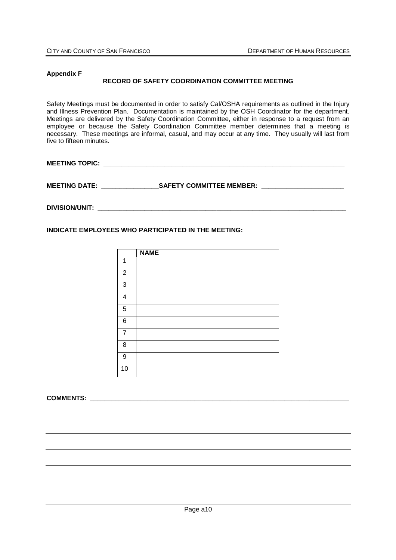### **Appendix F RECORD OF SAFETY COORDINATION COMMITTEE MEETING**

Safety Meetings must be documented in order to satisfy Cal/OSHA requirements as outlined in the Injury and Illness Prevention Plan. Documentation is maintained by the OSH Coordinator for the department. Meetings are delivered by the Safety Coordination Committee, either in response to a request from an employee or because the Safety Coordination Committee member determines that a meeting is necessary. These meetings are informal, casual, and may occur at any time. They usually will last from five to fifteen minutes.

**MEETING TOPIC: \_\_\_\_\_\_\_\_\_\_\_\_\_\_\_\_\_\_\_\_\_\_\_\_\_\_\_\_\_\_\_\_\_\_\_\_\_\_\_\_\_\_\_\_\_\_\_\_\_\_\_\_\_\_\_\_\_\_\_\_\_\_\_\_\_\_\_**

**MEETING DATE: \_\_\_\_\_\_\_\_\_\_\_\_\_\_\_\_SAFETY COMMITTEE MEMBER: \_\_\_\_\_\_\_\_\_\_\_\_\_\_\_\_\_\_\_\_\_\_\_**

**DIVISION/UNIT: \_\_\_\_\_\_\_\_\_\_\_\_\_\_\_\_\_\_\_\_\_\_\_\_\_\_\_\_\_\_\_\_\_\_\_\_\_\_\_\_\_\_\_\_\_\_\_\_\_\_\_\_\_\_\_\_\_\_\_\_\_\_\_\_\_\_\_\_\_**

**INDICATE EMPLOYEES WHO PARTICIPATED IN THE MEETING:**

|                | <b>NAME</b> |
|----------------|-------------|
| 1              |             |
| $\overline{2}$ |             |
| 3              |             |
| 4              |             |
| 5              |             |
| 6              |             |
| 7              |             |
| 8              |             |
| 9              |             |
| 10             |             |

**COMMENTS:**  $\blacksquare$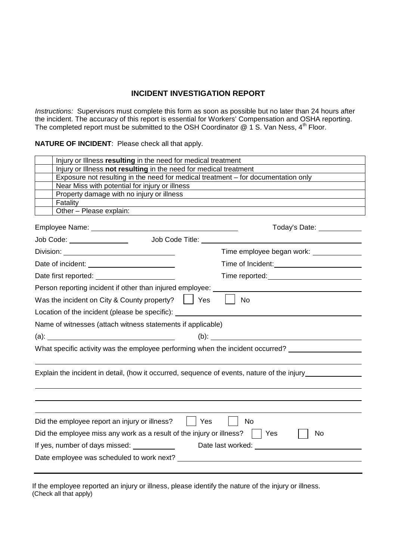## **INCIDENT INVESTIGATION REPORT**

*Instructions:* Supervisors must complete this form as soon as possible but no later than 24 hours after the incident. The accuracy of this report is essential for Workers' Compensation and OSHA reporting. The completed report must be submitted to the OSH Coordinator  $@$  1 S. Van Ness, 4<sup>th</sup> Floor.

### **NATURE OF INCIDENT**: Please check all that apply.

| Injury or Illness resulting in the need for medical treatment                                |                                               |  |  |  |  |  |
|----------------------------------------------------------------------------------------------|-----------------------------------------------|--|--|--|--|--|
| Injury or Illness not resulting in the need for medical treatment                            |                                               |  |  |  |  |  |
| Exposure not resulting in the need for medical treatment - for documentation only            |                                               |  |  |  |  |  |
| Near Miss with potential for injury or illness                                               |                                               |  |  |  |  |  |
| Property damage with no injury or illness                                                    |                                               |  |  |  |  |  |
| Fatality<br>Other - Please explain:                                                          |                                               |  |  |  |  |  |
|                                                                                              |                                               |  |  |  |  |  |
|                                                                                              | Today's Date: __________                      |  |  |  |  |  |
| Job Code Title: <u>www.community.com</u><br>Job Code: _______________                        |                                               |  |  |  |  |  |
|                                                                                              | Time employee began work: _______________     |  |  |  |  |  |
|                                                                                              |                                               |  |  |  |  |  |
| Date first reported: <u>_______________________</u>                                          | Time reported: <u>containing</u>              |  |  |  |  |  |
| Person reporting incident if other than injured employee:                                    |                                               |  |  |  |  |  |
| Was the incident on City & County property? $\vert \vert$ Yes                                | No                                            |  |  |  |  |  |
| Location of the incident (please be specific): _________________________________             |                                               |  |  |  |  |  |
| Name of witnesses (attach witness statements if applicable)                                  |                                               |  |  |  |  |  |
|                                                                                              |                                               |  |  |  |  |  |
| What specific activity was the employee performing when the incident occurred?               |                                               |  |  |  |  |  |
| Explain the incident in detail, (how it occurred, sequence of events, nature of the injury   |                                               |  |  |  |  |  |
|                                                                                              |                                               |  |  |  |  |  |
| Did the employee report an injury or illness?<br>Yes                                         | No                                            |  |  |  |  |  |
| Did the employee miss any work as a result of the injury or illness? $\vert \vert$ Yes<br>No |                                               |  |  |  |  |  |
| If yes, number of days missed: ____________                                                  | Date last worked:<br><u>Date</u> last worked: |  |  |  |  |  |
|                                                                                              |                                               |  |  |  |  |  |
|                                                                                              |                                               |  |  |  |  |  |

If the employee reported an injury or illness, please identify the nature of the injury or illness. (Check all that apply)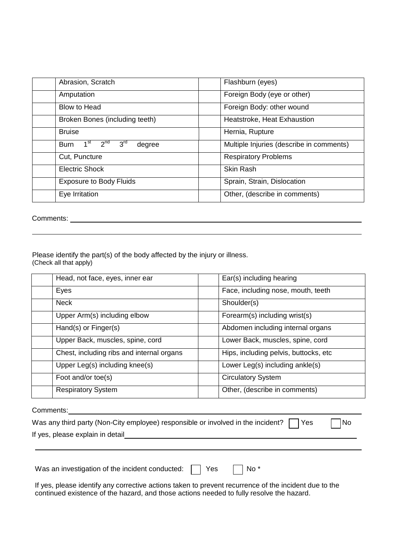| Abrasion, Scratch                                                       | Flashburn (eyes)                         |
|-------------------------------------------------------------------------|------------------------------------------|
| Amputation                                                              | Foreign Body (eye or other)              |
| Blow to Head                                                            | Foreign Body: other wound                |
| Broken Bones (including teeth)                                          | Heatstroke, Heat Exhaustion              |
| <b>Bruise</b>                                                           | Hernia, Rupture                          |
| $2^{nd}$<br>3 <sup>rd</sup><br>1 <sup>st</sup><br><b>Burn</b><br>degree | Multiple Injuries (describe in comments) |
| Cut, Puncture                                                           | <b>Respiratory Problems</b>              |
| <b>Electric Shock</b>                                                   | <b>Skin Rash</b>                         |
| <b>Exposure to Body Fluids</b>                                          | Sprain, Strain, Dislocation              |
| Eye Irritation                                                          | Other, (describe in comments)            |

Comments:

Please identify the part(s) of the body affected by the injury or illness. (Check all that apply)

| Head, not face, eyes, inner ear           | Ear(s) including hearing              |  |
|-------------------------------------------|---------------------------------------|--|
| Eyes                                      | Face, including nose, mouth, teeth    |  |
| <b>Neck</b>                               | Shoulder(s)                           |  |
| Upper Arm(s) including elbow              | Forearm(s) including wrist(s)         |  |
| Hand(s) or Finger(s)                      | Abdomen including internal organs     |  |
| Upper Back, muscles, spine, cord          | Lower Back, muscles, spine, cord      |  |
| Chest, including ribs and internal organs | Hips, including pelvis, buttocks, etc |  |
| Upper Leg(s) including knee(s)            | Lower Leg(s) including ankle(s)       |  |
| Foot and/or toe(s)                        | <b>Circulatory System</b>             |  |
| <b>Respiratory System</b>                 | Other, (describe in comments)         |  |

Comments: 2000 Comments: 2000 Comments: 2000 Comments: 2000 Comments: 2000 Comments: 2000 Comments: 2000 Comments: 2000 Comments: 2000 Comments: 2000 Comments: 2000 Comments: 2000 Comments: 2000 Comments: 2000 Comments: 20

| Was any third party (Non-City employee) responsible or involved in the incident? $\Box$ Yes | $\Box$ No |  |
|---------------------------------------------------------------------------------------------|-----------|--|
| If yes, please explain in detail                                                            |           |  |

Was an investigation of the incident conducted:  $\Box$  Yes  $\Box$  No \*

If yes, please identify any corrective actions taken to prevent recurrence of the incident due to the continued existence of the hazard, and those actions needed to fully resolve the hazard.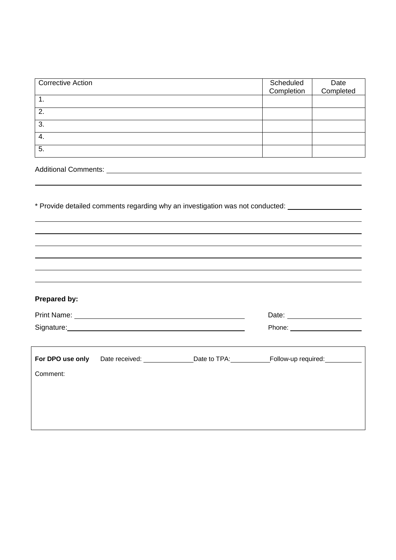| <b>Corrective Action</b> | Scheduled<br>Completion | Date<br>Completed |
|--------------------------|-------------------------|-------------------|
| 1.                       |                         |                   |
| 2.                       |                         |                   |
| 3.                       |                         |                   |
| 4.                       |                         |                   |
| 5.                       |                         |                   |

Additional Comments:

**Prepared by:**

\* Provide detailed comments regarding why an investigation was not conducted:

|                  |                       | Date: _______________________ |                                |
|------------------|-----------------------|-------------------------------|--------------------------------|
|                  | Signature: Signature: |                               | Phone: _______________________ |
|                  |                       |                               |                                |
| For DPO use only | Date received:        | Date to TPA:                  | Follow-up required:            |
| Comment:         |                       |                               |                                |
|                  |                       |                               |                                |
|                  |                       |                               |                                |
|                  |                       |                               |                                |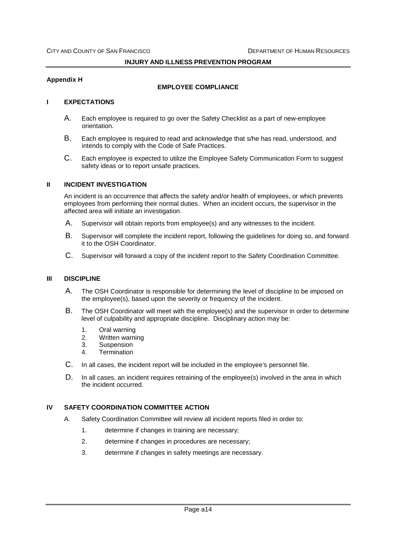#### **Appendix H**

#### **EMPLOYEE COMPLIANCE**

#### **I EXPECTATIONS**

- A. Each employee is required to go over the Safety Checklist as a part of new-employee orientation.
- B. Each employee is required to read and acknowledge that s/he has read, understood, and intends to comply with the Code of Safe Practices.
- C. Each employee is expected to utilize the Employee Safety Communication Form to suggest safety ideas or to report unsafe practices.

#### **II INCIDENT INVESTIGATION**

An incident is an occurrence that affects the safety and/or health of employees, or which prevents employees from performing their normal duties. When an incident occurs, the supervisor in the affected area will initiate an investigation.

- A. Supervisor will obtain reports from employee(s) and any witnesses to the incident.
- B. Supervisor will complete the incident report, following the guidelines for doing so, and forward it to the OSH Coordinator.
- C. Supervisor will forward a copy of the incident report to the Safety Coordination Committee.

#### **III DISCIPLINE**

- A. The OSH Coordinator is responsible for determining the level of discipline to be imposed on the employee(s), based upon the severity or frequency of the incident.
- B. The OSH Coordinator will meet with the employee(s) and the supervisor in order to determine level of culpability and appropriate discipline. Disciplinary action may be:
	- 1. Oral warning
	- 2. Written warning
	- 3. Suspension
	- 4. Termination
- C. In all cases, the incident report will be included in the employee's personnel file.
- D. In all cases, an incident requires retraining of the employee(s) involved in the area in which the incident occurred.

### **IV SAFETY COORDINATION COMMITTEE ACTION**

- A. Safety Coordination Committee will review all incident reports filed in order to:
	- 1. determine if changes in training are necessary;
	- 2. determine if changes in procedures are necessary;
	- 3. determine if changes in safety meetings are necessary.